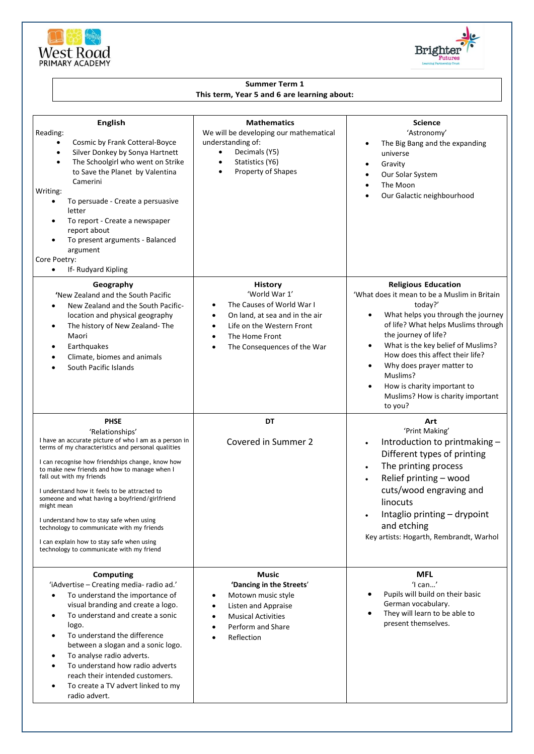



## **Summer Term 1 This term, Year 5 and 6 are learning about:**

| <b>English</b><br>Reading:<br>Cosmic by Frank Cotteral-Boyce<br>$\bullet$<br>Silver Donkey by Sonya Hartnett<br>$\bullet$<br>The Schoolgirl who went on Strike<br>$\bullet$<br>to Save the Planet by Valentina<br>Camerini<br>Writing:<br>To persuade - Create a persuasive<br>$\bullet$<br>letter<br>To report - Create a newspaper<br>٠<br>report about<br>To present arguments - Balanced<br>$\bullet$<br>argument<br>Core Poetry:<br>If-Rudyard Kipling<br>٠                                                                                                                | <b>Mathematics</b><br>We will be developing our mathematical<br>understanding of:<br>Decimals (Y5)<br>$\bullet$<br>Statistics (Y6)<br>$\bullet$<br>Property of Shapes                                            | <b>Science</b><br>'Astronomy'<br>The Big Bang and the expanding<br>٠<br>universe<br>Gravity<br>٠<br>Our Solar System<br>The Moon<br>Our Galactic neighbourhood                                                                                                                                                                                                                                                                      |
|---------------------------------------------------------------------------------------------------------------------------------------------------------------------------------------------------------------------------------------------------------------------------------------------------------------------------------------------------------------------------------------------------------------------------------------------------------------------------------------------------------------------------------------------------------------------------------|------------------------------------------------------------------------------------------------------------------------------------------------------------------------------------------------------------------|-------------------------------------------------------------------------------------------------------------------------------------------------------------------------------------------------------------------------------------------------------------------------------------------------------------------------------------------------------------------------------------------------------------------------------------|
| Geography<br>'New Zealand and the South Pacific<br>New Zealand and the South Pacific-<br>location and physical geography<br>The history of New Zealand-The<br>$\bullet$<br>Maori<br>Earthquakes<br>٠<br>Climate, biomes and animals<br>٠<br>South Pacific Islands<br>٠                                                                                                                                                                                                                                                                                                          | <b>History</b><br>'World War 1'<br>The Causes of World War I<br>٠<br>On land, at sea and in the air<br>Life on the Western Front<br>$\bullet$<br>The Home Front<br>٠<br>The Consequences of the War<br>$\bullet$ | <b>Religious Education</b><br>'What does it mean to be a Muslim in Britain<br>today?'<br>What helps you through the journey<br>$\bullet$<br>of life? What helps Muslims through<br>the journey of life?<br>What is the key belief of Muslims?<br>$\bullet$<br>How does this affect their life?<br>Why does prayer matter to<br>$\bullet$<br>Muslims?<br>How is charity important to<br>Muslims? How is charity important<br>to you? |
| <b>PHSE</b><br>'Relationships'<br>I have an accurate picture of who I am as a person in<br>terms of my characteristics and personal qualities<br>I can recognise how friendships change, know how<br>to make new friends and how to manage when I<br>fall out with my friends<br>I understand how it feels to be attracted to<br>someone and what having a boyfriend/girlfriend<br>might mean<br>I understand how to stay safe when using<br>technology to communicate with my friends<br>I can explain how to stay safe when using<br>technology to communicate with my friend | DT<br>Covered in Summer 2                                                                                                                                                                                        | Art<br>'Print Making'<br>Introduction to printmaking -<br>$\bullet$<br>Different types of printing<br>The printing process<br>$\bullet$<br>Relief printing - wood<br>cuts/wood engraving and<br>linocuts<br>Intaglio printing - drypoint<br>and etching<br>Key artists: Hogarth, Rembrandt, Warhol                                                                                                                                  |
| <b>Computing</b><br>'iAdvertise - Creating media- radio ad.'<br>To understand the importance of<br>$\bullet$<br>visual branding and create a logo.<br>To understand and create a sonic<br>٠<br>logo.<br>To understand the difference<br>٠<br>between a slogan and a sonic logo.<br>To analyse radio adverts.<br>٠<br>To understand how radio adverts<br>reach their intended customers.<br>To create a TV advert linked to my<br>٠<br>radio advert.                                                                                                                             | <b>Music</b><br>'Dancing in the Streets'<br>Motown music style<br>Listen and Appraise<br><b>Musical Activities</b><br>Perform and Share<br>Reflection                                                            | <b>MFL</b><br>$'$ l can'<br>Pupils will build on their basic<br>German vocabulary.<br>They will learn to be able to<br>present themselves.                                                                                                                                                                                                                                                                                          |